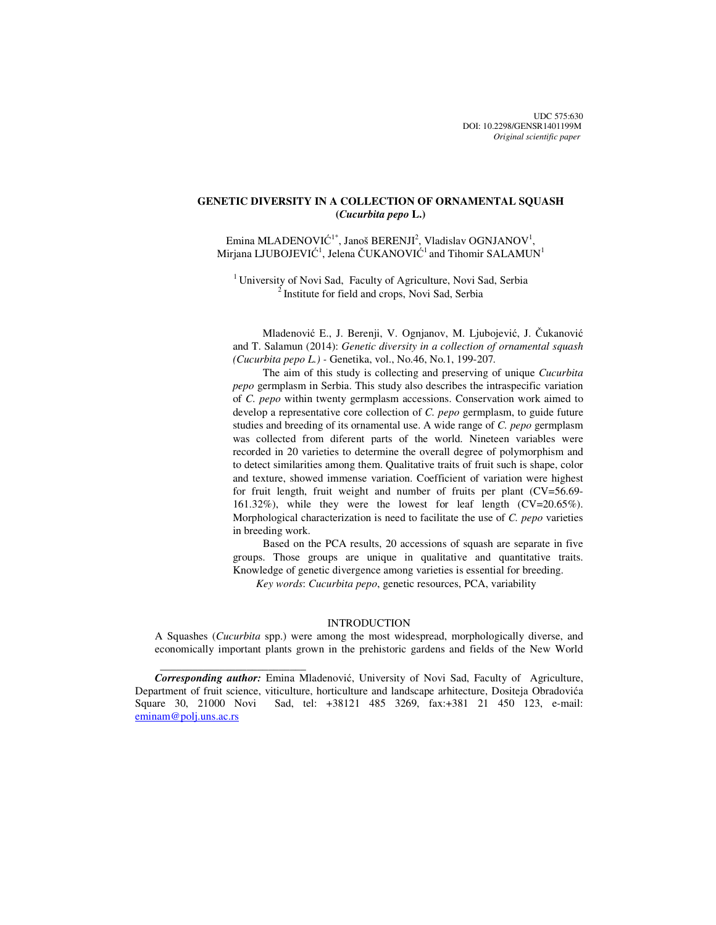UDC 575:630 DOI: 10.2298/GENSR1401199M *Original scientific paper*

# **GENETIC DIVERSITY IN A COLLECTION OF ORNAMENTAL SQUASH (***Cucurbita pepo* **L.)**

Emina MLADENOVIĆ<sup>1\*</sup>, Janoš BERENJI<sup>2</sup>, Vladislav OGNJANOV<sup>1</sup>, Mirjana LJUBOJEVIĆ<sup>1</sup>, Jelena ČUKANOVIĆ<sup>1</sup> and Tihomir SALAMUN<sup>1</sup>

<sup>1</sup> University of Novi Sad, Faculty of Agriculture, Novi Sad, Serbia  $2^{2}$  Institute for field and crops, Novi Sad, Serbia

Mladenović E., J. Berenji, V. Ognjanov, M. Ljubojević, J. Čukanović and T. Salamun (2014): *Genetic diversity in a collection of ornamental squash (Cucurbita pepo L.) -* Genetika, vol., No.46, No.1, 199-207*.* 

The aim of this study is collecting and preserving of unique *Cucurbita pepo* germplasm in Serbia. This study also describes the intraspecific variation of *C. pepo* within twenty germplasm accessions. Conservation work aimed to develop a representative core collection of *C. pepo* germplasm, to guide future studies and breeding of its ornamental use. A wide range of *C. pepo* germplasm was collected from diferent parts of the world. Nineteen variables were recorded in 20 varieties to determine the overall degree of polymorphism and to detect similarities among them. Qualitative traits of fruit such is shape, color and texture, showed immense variation. Coefficient of variation were highest for fruit length, fruit weight and number of fruits per plant (CV=56.69- 161.32%), while they were the lowest for leaf length (CV=20.65%). Morphological characterization is need to facilitate the use of *C. pepo* varieties in breeding work.

Based on the PCA results, 20 accessions of squash are separate in five groups. Those groups are unique in qualitative and quantitative traits. Knowledge of genetic divergence among varieties is essential for breeding.

*Key words*: *Cucurbita pepo*, genetic resources, PCA, variability

### INTRODUCTION

A Squashes (*Cucurbita* spp.) were among the most widespread, morphologically diverse, and economically important plants grown in the prehistoric gardens and fields of the New World

 $\frac{1}{2}$  , and the set of the set of the set of the set of the set of the set of the set of the set of the set of the set of the set of the set of the set of the set of the set of the set of the set of the set of the set

*Corresponding author:* Emina Mladenović, University of Novi Sad, Faculty of Agriculture, Department of fruit science, viticulture, horticulture and landscape arhitecture, Dositeja Obradovića Square 30, 21000 Novi Sad, tel: +38121 485 3269, fax:+381 21 450 123, e-mail: eminam@polj.uns.ac.rs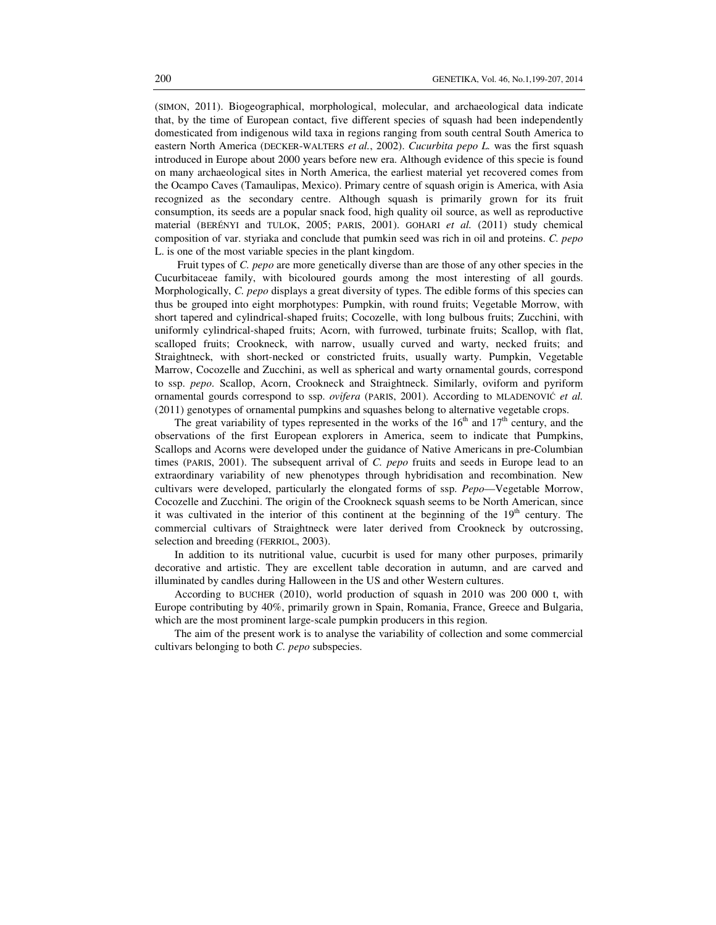(SIMON, 2011). Biogeographical, morphological, molecular, and archaeological data indicate that, by the time of European contact, five different species of squash had been independently domesticated from indigenous wild taxa in regions ranging from south central South America to eastern North America (DECKER-WALTERS *et al.*, 2002). *Cucurbita pepo L.* was the first squash introduced in Europe about 2000 years before new era. Although evidence of this specie is found on many archaeological sites in North America, the earliest material yet recovered comes from the Ocampo Caves (Tamaulipas, Mexico). Primary centre of squash origin is America, with Asia recognized as the secondary centre. Although squash is primarily grown for its fruit consumption, its seeds are a popular snack food, high quality oil source, as well as reproductive material (BERÉNYI and TULOK, 2005; PARIS, 2001). GOHARI *et al.* (2011) study chemical composition of var. styriaka and conclude that pumkin seed was rich in oil and proteins. *C. pepo* L. is one of the most variable species in the plant kingdom.

 Fruit types of *C. pepo* are more genetically diverse than are those of any other species in the Cucurbitaceae family, with bicoloured gourds among the most interesting of all gourds. Morphologically, *C. pepo* displays a great diversity of types. The edible forms of this species can thus be grouped into eight morphotypes: Pumpkin, with round fruits; Vegetable Morrow, with short tapered and cylindrical-shaped fruits; Cocozelle, with long bulbous fruits; Zucchini, with uniformly cylindrical-shaped fruits; Acorn, with furrowed, turbinate fruits; Scallop, with flat, scalloped fruits; Crookneck, with narrow, usually curved and warty, necked fruits; and Straightneck, with short-necked or constricted fruits, usually warty. Pumpkin, Vegetable Marrow, Cocozelle and Zucchini, as well as spherical and warty ornamental gourds, correspond to ssp. *pepo*. Scallop, Acorn, Crookneck and Straightneck. Similarly, oviform and pyriform ornamental gourds correspond to ssp. *ovifera* (PARIS, 2001). According to MLADENOVIĆ *et al.* (2011) genotypes of ornamental pumpkins and squashes belong to alternative vegetable crops.

The great variability of types represented in the works of the  $16<sup>th</sup>$  and  $17<sup>th</sup>$  century, and the observations of the first European explorers in America, seem to indicate that Pumpkins, Scallops and Acorns were developed under the guidance of Native Americans in pre-Columbian times (PARIS, 2001). The subsequent arrival of *C. pepo* fruits and seeds in Europe lead to an extraordinary variability of new phenotypes through hybridisation and recombination. New cultivars were developed, particularly the elongated forms of ssp. *Pepo*—Vegetable Morrow, Cocozelle and Zucchini. The origin of the Crookneck squash seems to be North American, since it was cultivated in the interior of this continent at the beginning of the  $19<sup>th</sup>$  century. The commercial cultivars of Straightneck were later derived from Crookneck by outcrossing, selection and breeding (FERRIOL, 2003).

In addition to its nutritional value, cucurbit is used for many other purposes, primarily decorative and artistic. They are excellent table decoration in autumn, and are carved and illuminated by candles during Halloween in the US and other Western cultures.

According to BUCHER (2010), world production of squash in 2010 was 200 000 t, with Europe contributing by 40%, primarily grown in Spain, Romania, France, Greece and Bulgaria, which are the most prominent large-scale pumpkin producers in this region.

The aim of the present work is to analyse the variability of collection and some commercial cultivars belonging to both *C. pepo* subspecies.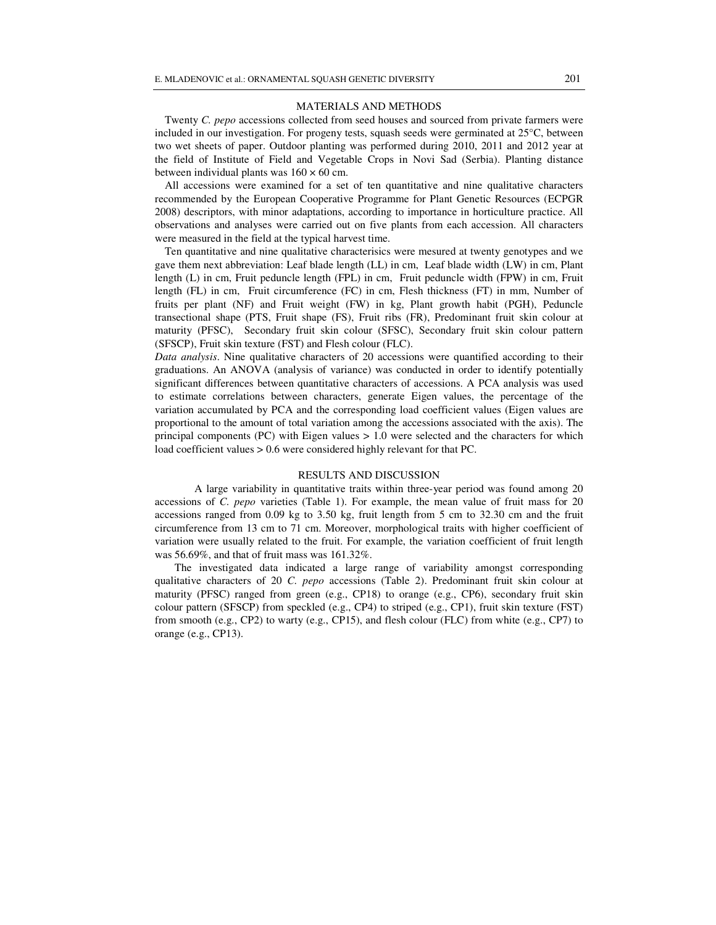#### MATERIALS AND METHODS

Twenty *C. pepo* accessions collected from seed houses and sourced from private farmers were included in our investigation. For progeny tests, squash seeds were germinated at  $25^{\circ}$ C, between two wet sheets of paper. Outdoor planting was performed during 2010, 2011 and 2012 year at the field of Institute of Field and Vegetable Crops in Novi Sad (Serbia). Planting distance between individual plants was  $160 \times 60$  cm.

All accessions were examined for a set of ten quantitative and nine qualitative characters recommended by the European Cooperative Programme for Plant Genetic Resources (ECPGR 2008) descriptors, with minor adaptations, according to importance in horticulture practice. All observations and analyses were carried out on five plants from each accession. All characters were measured in the field at the typical harvest time.

Ten quantitative and nine qualitative characterisics were mesured at twenty genotypes and we gave them next abbreviation: Leaf blade length (LL) in cm, Leaf blade width (LW) in cm, Plant length (L) in cm, Fruit peduncle length (FPL) in cm, Fruit peduncle width (FPW) in cm, Fruit length (FL) in cm, Fruit circumference (FC) in cm, Flesh thickness (FT) in mm, Number of fruits per plant (NF) and Fruit weight (FW) in kg, Plant growth habit (PGH), Peduncle transectional shape (PTS, Fruit shape (FS), Fruit ribs (FR), Predominant fruit skin colour at maturity (PFSC), Secondary fruit skin colour (SFSC), Secondary fruit skin colour pattern (SFSCP), Fruit skin texture (FST) and Flesh colour (FLC).

*Data analysis*. Nine qualitative characters of 20 accessions were quantified according to their graduations. An ANOVA (analysis of variance) was conducted in order to identify potentially significant differences between quantitative characters of accessions. A PCA analysis was used to estimate correlations between characters, generate Eigen values, the percentage of the variation accumulated by PCA and the corresponding load coefficient values (Eigen values are proportional to the amount of total variation among the accessions associated with the axis). The principal components  $(PC)$  with Eigen values  $> 1.0$  were selected and the characters for which load coefficient values > 0.6 were considered highly relevant for that PC.

### RESULTS AND DISCUSSION

A large variability in quantitative traits within three-year period was found among 20 accessions of *C. pepo* varieties (Table 1). For example, the mean value of fruit mass for 20 accessions ranged from 0.09 kg to 3.50 kg, fruit length from 5 cm to 32.30 cm and the fruit circumference from 13 cm to 71 cm. Moreover, morphological traits with higher coefficient of variation were usually related to the fruit. For example, the variation coefficient of fruit length was 56.69%, and that of fruit mass was 161.32%.

The investigated data indicated a large range of variability amongst corresponding qualitative characters of 20 *C. pepo* accessions (Table 2). Predominant fruit skin colour at maturity (PFSC) ranged from green (e.g., CP18) to orange (e.g., CP6), secondary fruit skin colour pattern (SFSCP) from speckled (e.g., CP4) to striped (e.g., CP1), fruit skin texture (FST) from smooth (e.g., CP2) to warty (e.g., CP15), and flesh colour (FLC) from white (e.g., CP7) to orange (e.g., CP13).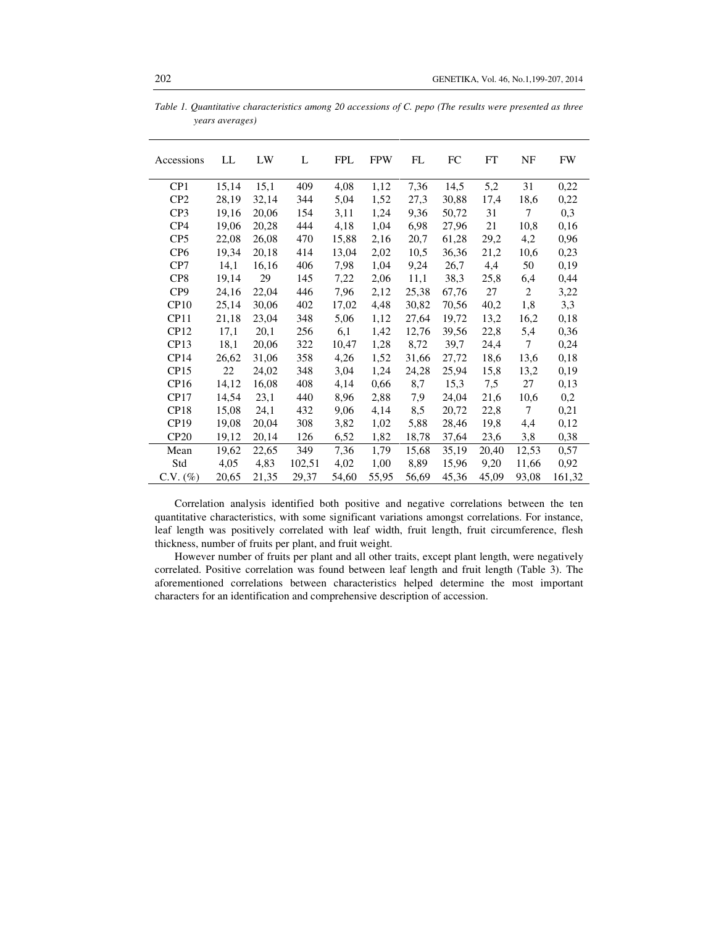| Accessions       | LL    | LW    | L      | <b>FPL</b> | <b>FPW</b> | FL    | FC    | FT    | NF             | <b>FW</b> |
|------------------|-------|-------|--------|------------|------------|-------|-------|-------|----------------|-----------|
| CP1              | 15,14 | 15,1  | 409    | 4,08       | 1,12       | 7,36  | 14,5  | 5,2   | 31             | 0,22      |
| CP <sub>2</sub>  | 28,19 | 32,14 | 344    | 5,04       | 1,52       | 27,3  | 30,88 | 17,4  | 18,6           | 0,22      |
| CP3              | 19,16 | 20,06 | 154    | 3,11       | 1,24       | 9,36  | 50,72 | 31    | $\overline{7}$ | 0,3       |
| CP4              | 19,06 | 20,28 | 444    | 4,18       | 1,04       | 6,98  | 27,96 | 21    | 10,8           | 0,16      |
| CP5              | 22,08 | 26,08 | 470    | 15,88      | 2,16       | 20,7  | 61,28 | 29,2  | 4,2            | 0,96      |
| CP <sub>6</sub>  | 19,34 | 20,18 | 414    | 13,04      | 2,02       | 10,5  | 36,36 | 21,2  | 10,6           | 0,23      |
| CP7              | 14,1  | 16,16 | 406    | 7,98       | 1,04       | 9,24  | 26,7  | 4,4   | 50             | 0,19      |
| CP8              | 19,14 | 29    | 145    | 7,22       | 2,06       | 11,1  | 38,3  | 25,8  | 6,4            | 0,44      |
| CP <sub>9</sub>  | 24,16 | 22,04 | 446    | 7,96       | 2,12       | 25,38 | 67,76 | 27    | $\overline{2}$ | 3,22      |
| CP10             | 25,14 | 30,06 | 402    | 17,02      | 4,48       | 30,82 | 70,56 | 40,2  | 1,8            | 3,3       |
| CP11             | 21,18 | 23,04 | 348    | 5,06       | 1,12       | 27,64 | 19,72 | 13,2  | 16,2           | 0,18      |
| CP12             | 17,1  | 20,1  | 256    | 6,1        | 1,42       | 12,76 | 39,56 | 22,8  | 5,4            | 0,36      |
| CP13             | 18,1  | 20,06 | 322    | 10,47      | 1,28       | 8,72  | 39,7  | 24,4  | 7              | 0,24      |
| CP <sub>14</sub> | 26,62 | 31,06 | 358    | 4,26       | 1,52       | 31,66 | 27,72 | 18,6  | 13,6           | 0,18      |
| CP15             | 22    | 24,02 | 348    | 3,04       | 1,24       | 24,28 | 25,94 | 15,8  | 13,2           | 0,19      |
| CP16             | 14,12 | 16,08 | 408    | 4,14       | 0,66       | 8,7   | 15,3  | 7,5   | 27             | 0,13      |
| CP17             | 14,54 | 23,1  | 440    | 8,96       | 2,88       | 7,9   | 24,04 | 21,6  | 10,6           | 0,2       |
| CP18             | 15,08 | 24,1  | 432    | 9,06       | 4,14       | 8,5   | 20,72 | 22,8  | $\overline{7}$ | 0,21      |
| CP19             | 19,08 | 20,04 | 308    | 3,82       | 1,02       | 5,88  | 28,46 | 19,8  | 4,4            | 0,12      |
| CP20             | 19,12 | 20,14 | 126    | 6,52       | 1,82       | 18,78 | 37,64 | 23,6  | 3,8            | 0,38      |
| Mean             | 19,62 | 22,65 | 349    | 7,36       | 1,79       | 15,68 | 35,19 | 20,40 | 12,53          | 0,57      |
| Std              | 4,05  | 4,83  | 102,51 | 4,02       | 1,00       | 8,89  | 15,96 | 9,20  | 11,66          | 0,92      |
| $C.V. (\%)$      | 20,65 | 21,35 | 29.37  | 54,60      | 55,95      | 56,69 | 45,36 | 45,09 | 93,08          | 161,32    |

*Table 1. Quantitative characteristics among 20 accessions of C. pepo (The results were presented as three years averages)* 

Correlation analysis identified both positive and negative correlations between the ten quantitative characteristics, with some significant variations amongst correlations. For instance, leaf length was positively correlated with leaf width, fruit length, fruit circumference, flesh thickness, number of fruits per plant, and fruit weight.

However number of fruits per plant and all other traits, except plant length, were negatively correlated. Positive correlation was found between leaf length and fruit length (Table 3). The aforementioned correlations between characteristics helped determine the most important characters for an identification and comprehensive description of accession.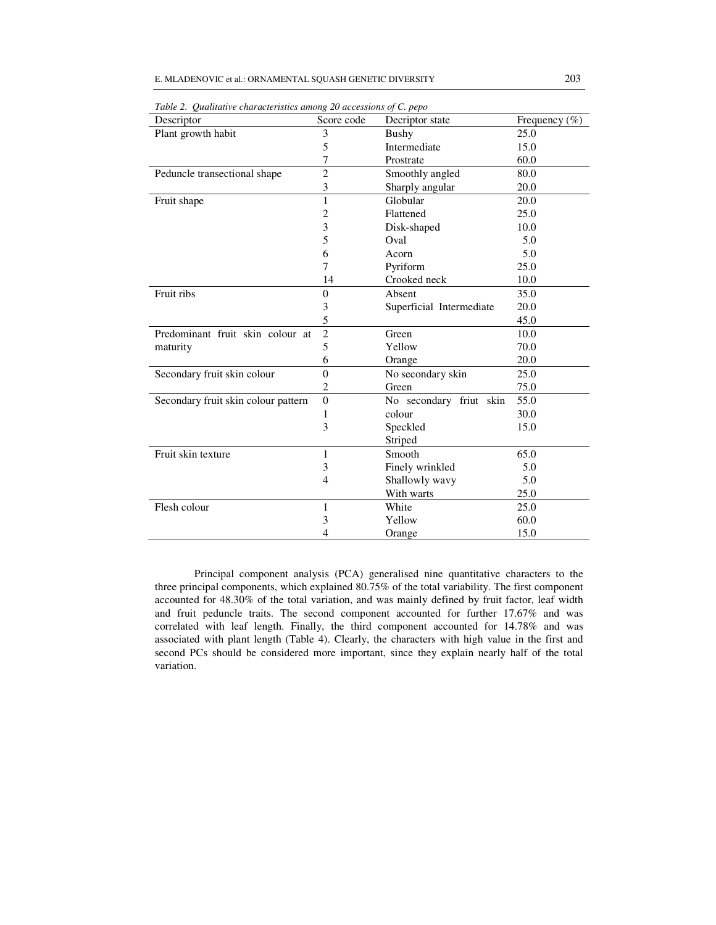| Descriptor                          | Score code     | Decriptor state          | Frequency $(\% )$ |  |
|-------------------------------------|----------------|--------------------------|-------------------|--|
| Plant growth habit                  | 3              | Bushy                    | 25.0              |  |
|                                     | 5              | Intermediate             | 15.0              |  |
|                                     | 7              | Prostrate                | 60.0              |  |
| Peduncle transectional shape        | $\overline{c}$ | Smoothly angled          | 80.0              |  |
|                                     | 3              | Sharply angular          | 20.0              |  |
| Fruit shape                         | 1<br>Globular  |                          | 20.0              |  |
|                                     | 2              | Flattened                | 25.0              |  |
|                                     | 3              | Disk-shaped              | 10.0              |  |
|                                     | 5              | Oval                     | 5.0               |  |
|                                     | 6              | Acorn                    | 5.0               |  |
|                                     | 7              | Pyriform                 | 25.0              |  |
|                                     | 14             | Crooked neck             | 10.0              |  |
| Fruit ribs                          | $\overline{0}$ | Absent                   | 35.0              |  |
|                                     | 3              | Superficial Intermediate | 20.0              |  |
|                                     | 5              |                          | 45.0              |  |
| Predominant fruit skin colour at    | $\overline{2}$ | Green                    | 10.0              |  |
| maturity                            | 5              | Yellow                   | 70.0              |  |
|                                     | 6              | Orange                   | 20.0              |  |
| Secondary fruit skin colour         | $\theta$       | No secondary skin        | 25.0              |  |
|                                     | $\mathfrak{2}$ | Green                    | 75.0              |  |
| Secondary fruit skin colour pattern | $\theta$       | No secondary friut skin  | 55.0              |  |
|                                     | 1              | colour                   | 30.0              |  |
|                                     | 3              | Speckled                 | 15.0              |  |
|                                     |                | Striped                  |                   |  |
| Fruit skin texture                  | 1              | Smooth                   | 65.0              |  |
|                                     | 3              | Finely wrinkled          | 5.0               |  |
|                                     | $\overline{4}$ | Shallowly wavy           | 5.0               |  |
|                                     |                | With warts               | 25.0              |  |
| Flesh colour                        | 1              | White                    | 25.0              |  |
|                                     | 3              | Yellow                   | 60.0              |  |
|                                     | 4              | Orange                   | 15.0              |  |

*Table 2. Qualitative characteristics among 20 accessions of C. pepo* 

Principal component analysis (PCA) generalised nine quantitative characters to the three principal components, which explained 80.75% of the total variability. The first component accounted for 48.30% of the total variation, and was mainly defined by fruit factor, leaf width and fruit peduncle traits. The second component accounted for further 17.67% and was correlated with leaf length. Finally, the third component accounted for 14.78% and was associated with plant length (Table 4). Clearly, the characters with high value in the first and second PCs should be considered more important, since they explain nearly half of the total variation.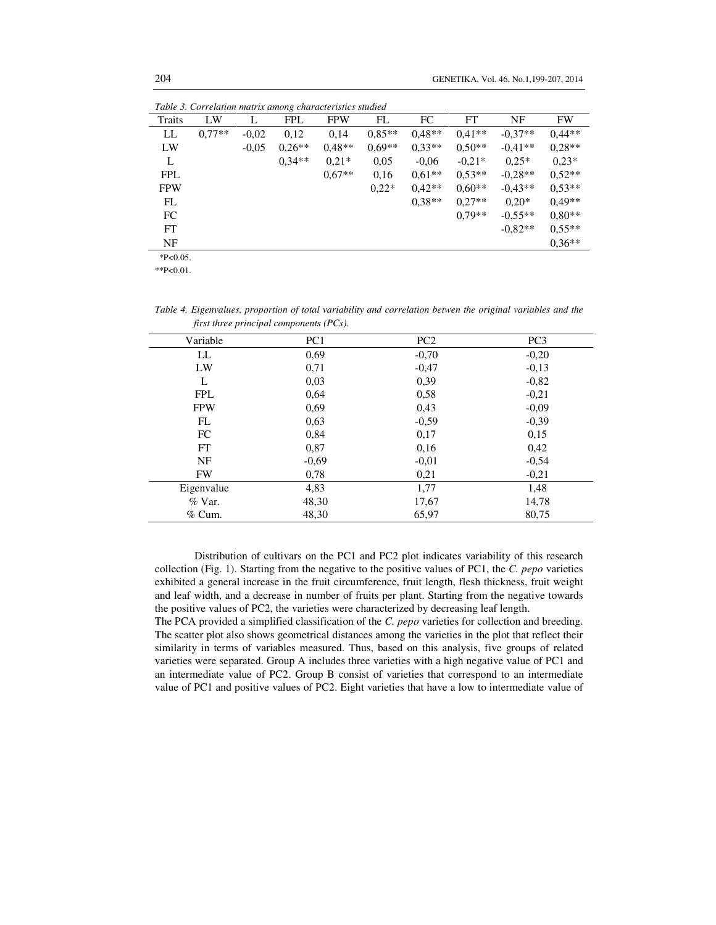| Table 3. Correlation matrix among characteristics studied |          |         |            |            |          |          |          |           |           |
|-----------------------------------------------------------|----------|---------|------------|------------|----------|----------|----------|-----------|-----------|
| Traits                                                    | LW       | L       | <b>FPL</b> | <b>FPW</b> | FL       | FC       | FT       | NF        | <b>FW</b> |
| LL                                                        | $0.77**$ | $-0,02$ | 0,12       | 0,14       | $0.85**$ | $0.48**$ | $0.41**$ | $-0.37**$ | $0.44**$  |
| LW                                                        |          | $-0,05$ | $0.26**$   | $0.48**$   | $0.69**$ | $0,33**$ | $0.50**$ | $-0.41**$ | $0.28**$  |
| L                                                         |          |         | $0.34**$   | $0.21*$    | 0,05     | $-0.06$  | $-0.21*$ | $0.25*$   | $0.23*$   |
| <b>FPL</b>                                                |          |         |            | $0.67**$   | 0,16     | $0.61**$ | $0.53**$ | $-0.28**$ | $0.52**$  |
| <b>FPW</b>                                                |          |         |            |            | $0.22*$  | $0.42**$ | $0.60**$ | $-0.43**$ | $0.53**$  |
| FL                                                        |          |         |            |            |          | $0.38**$ | $0.27**$ | $0.20*$   | $0.49**$  |
| FC                                                        |          |         |            |            |          |          | $0.79**$ | $-0.55**$ | $0.80**$  |
| FT                                                        |          |         |            |            |          |          |          | $-0.82**$ | $0.55**$  |
| NF                                                        |          |         |            |            |          |          |          |           | $0.36**$  |
| $*P<0.05$ .                                               |          |         |            |            |          |          |          |           |           |

\*\*P<0.01.

*Table 4. Eigenvalues, proportion of total variability and correlation betwen the original variables and the first three principal components (PCs).*

| Variable   | PC <sub>1</sub> | PC <sub>2</sub> | PC <sub>3</sub> |
|------------|-----------------|-----------------|-----------------|
| LL         | 0.69            | $-0,70$         | $-0,20$         |
| LW         | 0.71            | $-0,47$         | $-0.13$         |
| L          | 0,03            | 0.39            | $-0.82$         |
| <b>FPL</b> | 0,64            | 0.58            | $-0.21$         |
| <b>FPW</b> | 0,69            | 0,43            | $-0.09$         |
| FL         | 0,63            | $-0,59$         | $-0,39$         |
| FC         | 0,84            | 0,17            | 0,15            |
| FT         | 0,87            | 0,16            | 0,42            |
| <b>NF</b>  | $-0,69$         | $-0,01$         | $-0,54$         |
| <b>FW</b>  | 0,78            | 0,21            | $-0,21$         |
| Eigenvalue | 4,83            | 1,77            | 1,48            |
| $\%$ Var.  | 48,30           | 17,67           | 14,78           |
| $%$ Cum.   | 48,30           | 65,97           | 80,75           |

Distribution of cultivars on the PC1 and PC2 plot indicates variability of this research collection (Fig. 1). Starting from the negative to the positive values of PC1, the *C. pepo* varieties exhibited a general increase in the fruit circumference, fruit length, flesh thickness, fruit weight and leaf width, and a decrease in number of fruits per plant. Starting from the negative towards the positive values of PC2, the varieties were characterized by decreasing leaf length.

The PCA provided a simplified classification of the *C. pepo* varieties for collection and breeding. The scatter plot also shows geometrical distances among the varieties in the plot that reflect their similarity in terms of variables measured. Thus, based on this analysis, five groups of related varieties were separated. Group A includes three varieties with a high negative value of PC1 and an intermediate value of PC2. Group B consist of varieties that correspond to an intermediate value of PC1 and positive values of PC2. Eight varieties that have a low to intermediate value of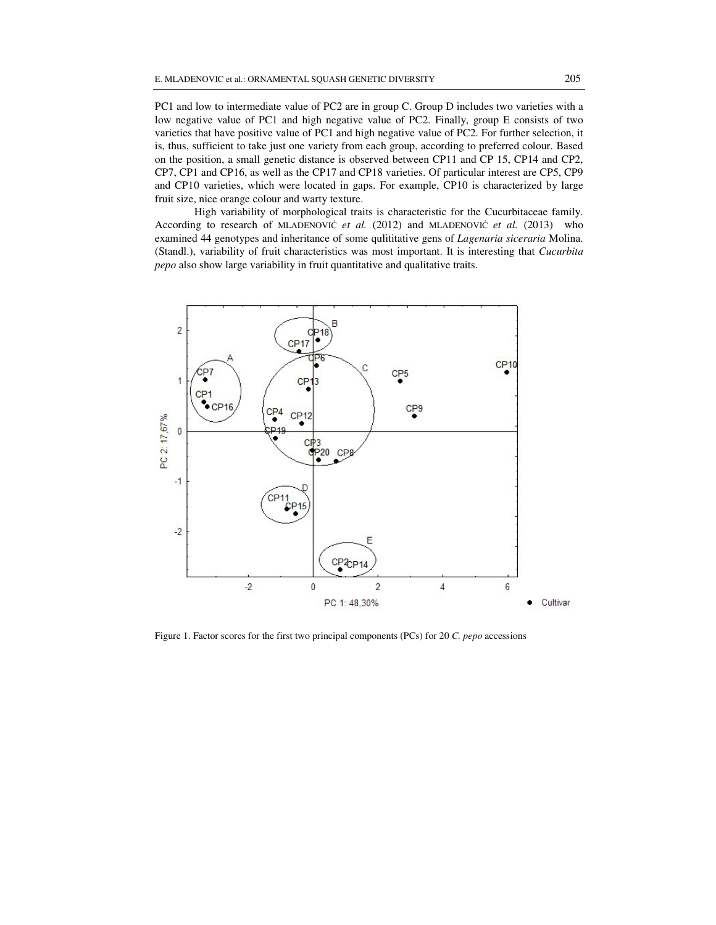PC1 and low to intermediate value of PC2 are in group C. Group D includes two varieties with a low negative value of PC1 and high negative value of PC2. Finally, group E consists of two varieties that have positive value of PC1 and high negative value of PC2. For further selection, it is, thus, sufficient to take just one variety from each group, according to preferred colour. Based on the position, a small genetic distance is observed between CP11 and CP 15, CP14 and CP2, CP7, CP1 and CP16, as well as the CP17 and CP18 varieties. Of particular interest are CP5, CP9 and CP10 varieties, which were located in gaps. For example, CP10 is characterized by large fruit size, nice orange colour and warty texture.

High variability of morphological traits is characteristic for the Cucurbitaceae family. According to research of MLADENOVIĆ *et al.* (2012) and MLADENOVIĆ *et al.* (2013) who examined 44 genotypes and inheritance of some qulititative gens of *Lagenaria siceraria* Molina. (Standl.), variability of fruit characteristics was most important. It is interesting that *Cucurbita pepo* also show large variability in fruit quantitative and qualitative traits.



Figure 1. Factor scores for the first two principal components (PCs) for 20 *C. pepo* accessions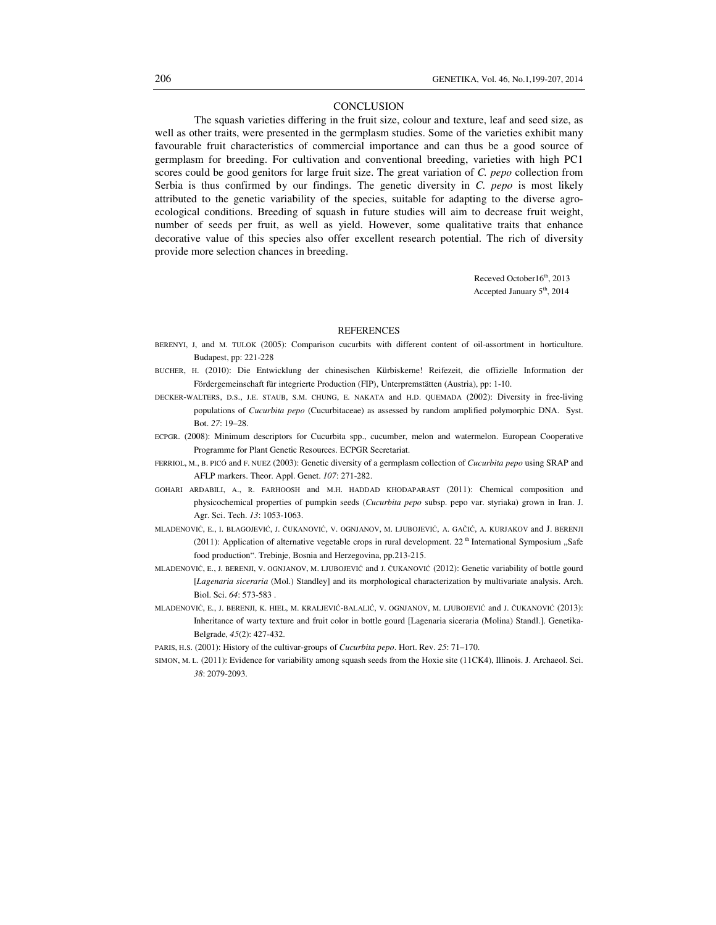#### **CONCLUSION**

The squash varieties differing in the fruit size, colour and texture, leaf and seed size, as well as other traits, were presented in the germplasm studies. Some of the varieties exhibit many favourable fruit characteristics of commercial importance and can thus be a good source of germplasm for breeding. For cultivation and conventional breeding, varieties with high PC1 scores could be good genitors for large fruit size. The great variation of *C. pepo* collection from Serbia is thus confirmed by our findings. The genetic diversity in *C. pepo* is most likely attributed to the genetic variability of the species, suitable for adapting to the diverse agroecological conditions. Breeding of squash in future studies will aim to decrease fruit weight, number of seeds per fruit, as well as yield. However, some qualitative traits that enhance decorative value of this species also offer excellent research potential. The rich of diversity provide more selection chances in breeding.

> Receved October16<sup>th</sup>, 2013 Accepted January 5<sup>th</sup>, 2014

#### **REFERENCES**

- BERENYI, J, and M. TULOK (2005): Comparison cucurbits with different content of oil-assortment in horticulture. Budapest, pp: 221-228
- BUCHER, H. (2010): Die Entwicklung der chinesischen Kürbiskerne! Reifezeit, die offizielle Information der Fördergemeinschaft für integrierte Production (FIP), Unterpremstätten (Austria), pp: 1-10.
- DECKER-WALTERS, D.S., J.E. STAUB, S.M. CHUNG, E. NAKATA and H.D. QUEMADA (2002): Diversity in free-living populations of *Cucurbita pepo* (Cucurbitaceae) as assessed by random amplified polymorphic DNA. Syst. Bot. *27*: 19–28.
- ECPGR. (2008): Minimum descriptors for Cucurbita spp., cucumber, melon and watermelon. European Cooperative Programme for Plant Genetic Resources. ECPGR Secretariat.
- FERRIOL, M., B. PICÓ and F. NUEZ (2003): Genetic diversity of a germplasm collection of *Cucurbita pepo* using SRAP and AFLP markers. Theor. Appl. Genet. *107*: 271-282.
- GOHARI ARDABILI, A., R. FARHOOSH and M.H. HADDAD KHODAPARAST (2011): Chemical composition and physicochemical properties of pumpkin seeds (*Cucurbita pepo* subsp. pepo var. styriaka) grown in Iran. J. Agr. Sci. Tech. *13*: 1053-1063.
- MLADENOVIĆ, E., I. BLAGOJEVIĆ, J. ČUKANOVIĆ, V. OGNJANOV, M. LJUBOJEVIĆ, A. GAČIĆ, A. KURJAKOV and J. BERENJI (2011): Application of alternative vegetable crops in rural development. 22<sup>th</sup> International Symposium  $\mathcal{S}$ Safe food production". Trebinje, Bosnia and Herzegovina, pp.213-215.
- MLADENOVIĆ, E., J. BERENJI, V. OGNJANOV, M. LJUBOJEVIĆ and J. ČUKANOVIĆ (2012): Genetic variability of bottle gourd [*Lagenaria siceraria* (Mol.) Standley] and its morphological characterization by multivariate analysis. Arch. Biol. Sci. *64*: 573-583 .
- MLADENOVIĆ, E., J. BERENJI, K. HIEL, M. KRALJEVIĆ-BALALIĆ, V. OGNJANOV, M. LJUBOJEVIĆ and J. ČUKANOVIĆ (2013): Inheritance of warty texture and fruit color in bottle gourd [Lagenaria siceraria (Molina) Standl.]. Genetika-Belgrade, *45*(2): 427-432.

PARIS, H.S. (2001): History of the cultivar-groups of *Cucurbita pepo*. Hort. Rev. *25*: 71–170.

SIMON, M. L. (2011): Evidence for variability among squash seeds from the Hoxie site (11CK4), Illinois. J. Archaeol. Sci. *38*: 2079-2093.